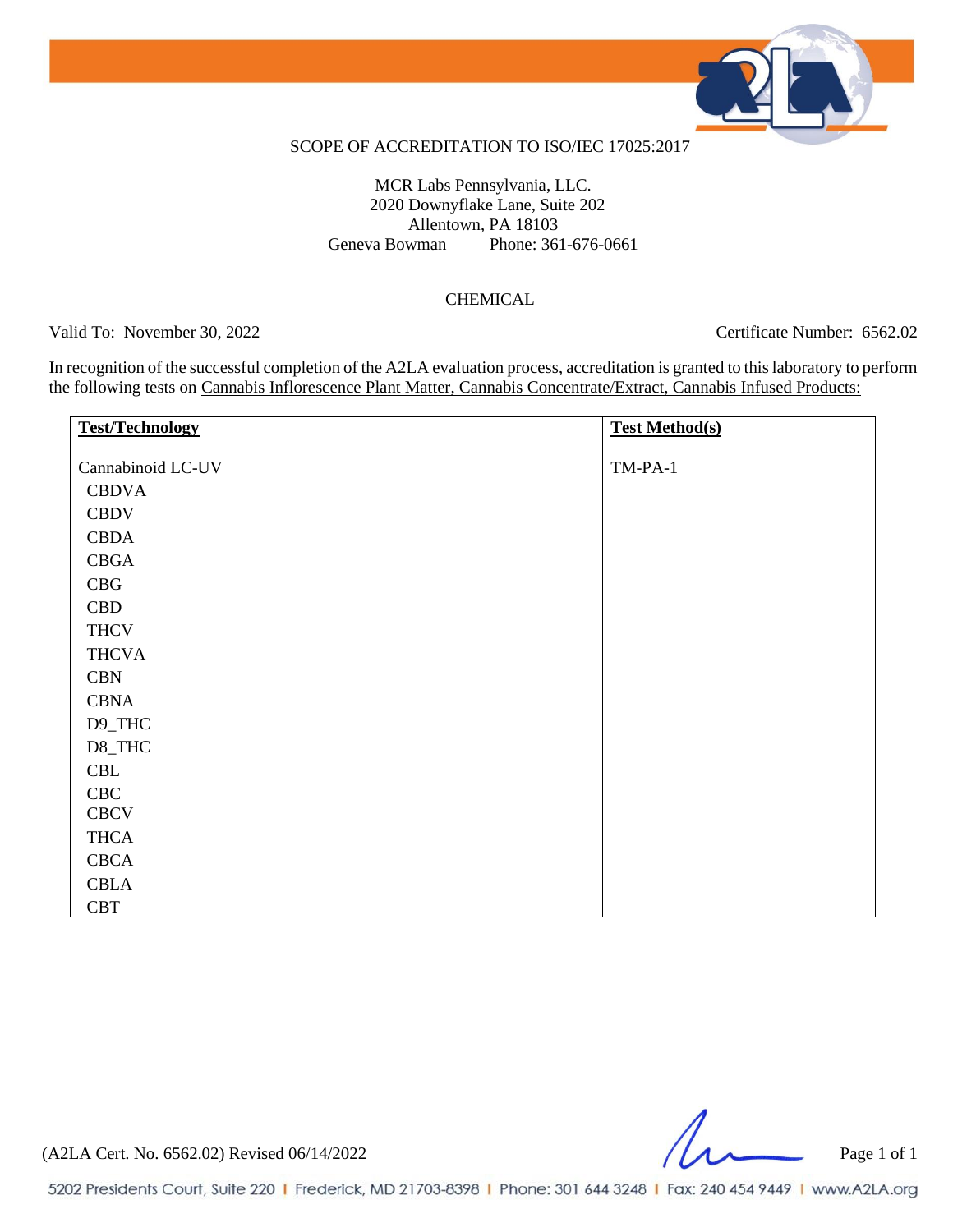

#### SCOPE OF ACCREDITATION TO ISO/IEC 17025:2017

MCR Labs Pennsylvania, LLC. 2020 Downyflake Lane, Suite 202 Allentown, PA 18103 Geneva Bowman Phone: 361-676-0661

### CHEMICAL

Valid To: November 30, 2022 Certificate Number: 6562.02

In recognition of the successful completion of the A2LA evaluation process, accreditation is granted to this laboratory to perform the following tests on Cannabis Inflorescence Plant Matter, Cannabis Concentrate/Extract, Cannabis Infused Products:

| <b>Test/Technology</b> | <b>Test Method(s)</b> |
|------------------------|-----------------------|
| Cannabinoid LC-UV      | $TM-PA-1$             |
| <b>CBDVA</b>           |                       |
| <b>CBDV</b>            |                       |
| <b>CBDA</b>            |                       |
| <b>CBGA</b>            |                       |
| CBG                    |                       |
| <b>CBD</b>             |                       |
| <b>THCV</b>            |                       |
| <b>THCVA</b>           |                       |
| <b>CBN</b>             |                       |
| <b>CBNA</b>            |                       |
| D9_THC                 |                       |
| D8_THC                 |                       |
| CBL                    |                       |
| CBC                    |                       |
| <b>CBCV</b>            |                       |
| <b>THCA</b>            |                       |
| <b>CBCA</b>            |                       |
| <b>CBLA</b>            |                       |
| <b>CBT</b>             |                       |

(A2LA Cert. No. 6562.02) Revised 06/14/2022 Page 1 of 1

5202 Presidents Court, Suite 220 | Frederick, MD 21703-8398 | Phone: 301 644 3248 | Fax: 240 454 9449 | www.A2LA.org